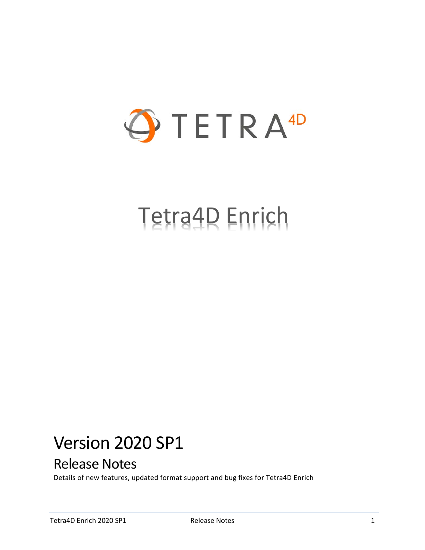

# Tetra4D Enrich

## Version 2020 SP1

## Release Notes

Details of new features, updated format support and bug fixes for Tetra4D Enrich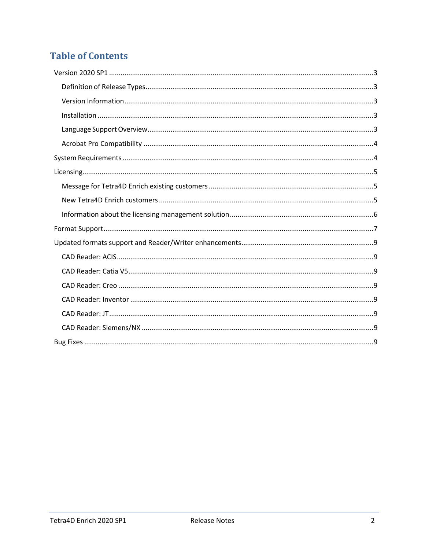## **Table of Contents**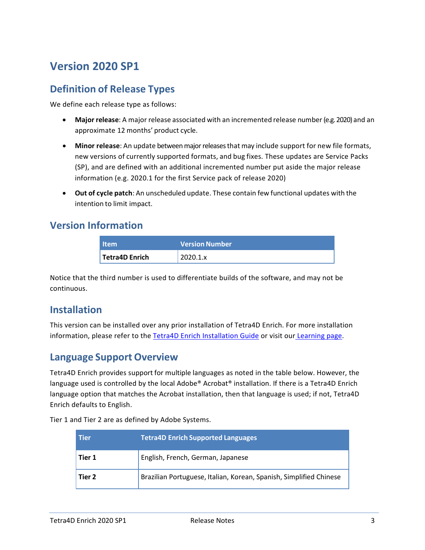## <span id="page-2-0"></span>**Version 2020 SP1**

#### <span id="page-2-1"></span>**Definition of Release Types**

We define each release type as follows:

- **Major release**: A major release associated with an incremented release number (e.g. 2020) and an approximate 12 months' product cycle.
- **Minor release**: An update betweenmajorreleasesthat may include support for new file formats, new versions of currently supported formats, and bug fixes. These updates are Service Packs (SP), and are defined with an additional incremented number put aside the major release information (e.g. 2020.1 for the first Service pack of release 2020)
- **Out of cycle patch**: An unscheduled update. These contain few functional updates with the intention to limit impact.

#### <span id="page-2-2"></span>**Version Information**

| <b>Item</b>                 | Version Number |
|-----------------------------|----------------|
| <sup>1</sup> Tetra4D Enrich | 2020.1.x       |

Notice that the third number is used to differentiate builds of the software, and may not be continuous.

#### <span id="page-2-3"></span>**Installation**

This version can be installed over any prior installation of Tetra4D Enrich. For more installation information, please refer to the Tetra4D Enrich [Installation Guide](http://www.tetra4d.com/documentation/) or visit our [Learning page.](http://tetra4d.com/learning/)

#### <span id="page-2-4"></span>**Language Support Overview**

Tetra4D Enrich provides support for multiple languages as noted in the table below. However, the language used is controlled by the local Adobe® Acrobat® installation. If there is a Tetra4D Enrich language option that matches the Acrobat installation, then that language is used; if not, Tetra4D Enrich defaults to English.

Tier 1 and Tier 2 are as defined by Adobe Systems.

| l Tier | <b>Tetra4D Enrich Supported Languages</b>                          |
|--------|--------------------------------------------------------------------|
| Tier 1 | English, French, German, Japanese                                  |
| Tier 2 | Brazilian Portuguese, Italian, Korean, Spanish, Simplified Chinese |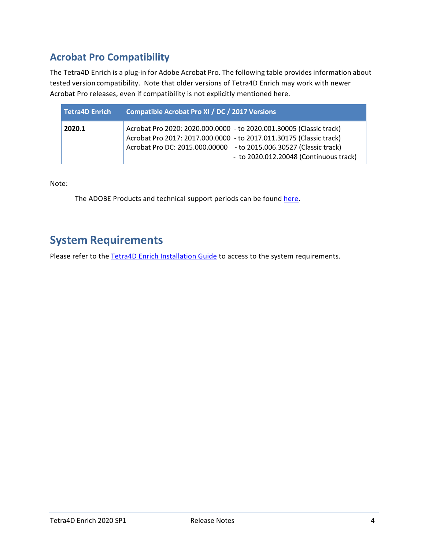## <span id="page-3-0"></span>**Acrobat Pro Compatibility**

The Tetra4D Enrich is a plug-in for Adobe Acrobat Pro. The following table provides information about tested version compatibility. Note that older versions of Tetra4D Enrich may work with newer Acrobat Pro releases, even if compatibility is not explicitly mentioned here.

| Tetra4D Enrich | <b>Compatible Acrobat Pro XI / DC / 2017 Versions</b>                                                                                                                                                                                                      |
|----------------|------------------------------------------------------------------------------------------------------------------------------------------------------------------------------------------------------------------------------------------------------------|
| 2020.1         | Acrobat Pro 2020: 2020.000.0000 - to 2020.001.30005 (Classic track)<br>Acrobat Pro 2017: 2017.000.0000 - to 2017.011.30175 (Classic track)<br>Acrobat Pro DC: 2015.000.00000 - to 2015.006.30527 (Classic track)<br>- to 2020.012.20048 (Continuous track) |

Note:

The ADOBE Products and technical support periods can be found [here.](https://helpx.adobe.com/support/programs/eol-matrix.html)

## <span id="page-3-1"></span>**System Requirements**

Please refer to the **Tetra4D Enrich Installation Guide** to access to the system requirements.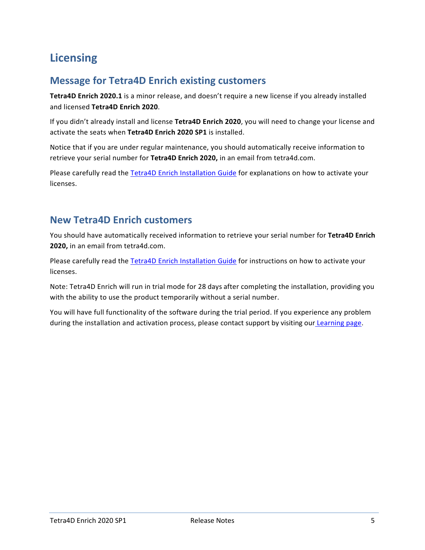## <span id="page-4-0"></span>**Licensing**

#### <span id="page-4-1"></span>**Message for Tetra4D Enrich existing customers**

**Tetra4D Enrich 2020.1** is a minor release, and doesn't require a new license if you already installed and licensed **Tetra4D Enrich 2020**.

If you didn't already install and license **Tetra4D Enrich 2020**, you will need to change your license and activate the seats when **Tetra4D Enrich 2020 SP1** is installed.

Notice that if you are under regular maintenance, you should automatically receive information to retrieve your serial number for **Tetra4D Enrich 2020,** in an email from tetra4d.com.

Please carefully read the [Tetra4D Enrich Installation Guide](http://www.tetra4d.com/documentation/) for explanations on how to activate your licenses.

#### <span id="page-4-2"></span>**New Tetra4D Enrich customers**

You should have automatically received information to retrieve your serial number for **Tetra4D Enrich 2020,** in an email from tetra4d.com.

Please carefully read the [Tetra4D Enrich Installation Guide](http://www.tetra4d.com/documentation/) for instructions on how to activate your licenses.

Note: Tetra4D Enrich will run in trial mode for 28 days after completing the installation, providing you with the ability to use the product temporarily without a serial number.

You will have full functionality of the software during the trial period. If you experience any problem during the installation and activation process, please contact support by visiting our [Learning page.](http://tetra4d.com/learning/)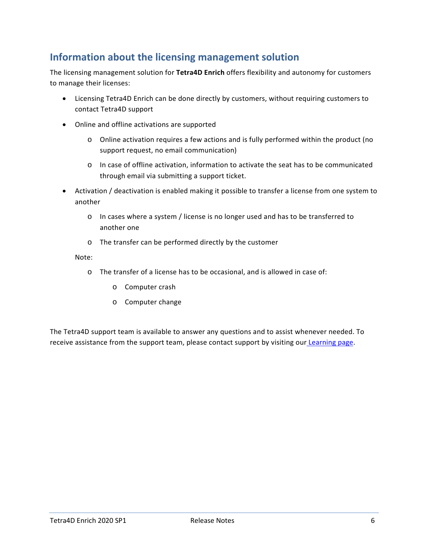#### <span id="page-5-0"></span>**Information about the licensing management solution**

The licensing management solution for **Tetra4D Enrich** offers flexibility and autonomy for customers to manage their licenses:

- Licensing Tetra4D Enrich can be done directly by customers, without requiring customers to contact Tetra4D support
- Online and offline activations are supported
	- o Online activation requires a few actions and is fully performed within the product (no support request, no email communication)
	- o In case of offline activation, information to activate the seat has to be communicated through email via submitting a support ticket.
- Activation / deactivation is enabled making it possible to transfer a license from one system to another
	- o In cases where a system / license is no longer used and has to be transferred to another one
	- o The transfer can be performed directly by the customer

#### Note:

- o The transfer of a license has to be occasional, and is allowed in case of:
	- o Computer crash
	- o Computer change

The Tetra4D support team is available to answer any questions and to assist whenever needed. To receive assistance from the support team, please contact support by visiting our [Learning page.](http://tetra4d.com/learning/)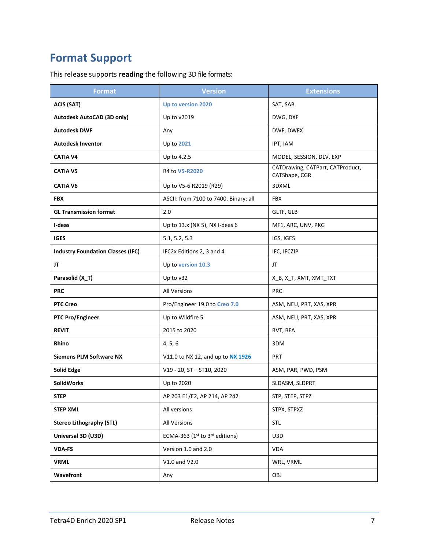## <span id="page-6-0"></span>**Format Support**

This release supports **reading** the following 3D file formats:

| <b>Format</b>                            | <b>Version</b>                        | <b>Extensions</b>                                 |
|------------------------------------------|---------------------------------------|---------------------------------------------------|
| <b>ACIS (SAT)</b>                        | Up to version 2020                    | SAT, SAB                                          |
| Autodesk AutoCAD (3D only)               | Up to v2019                           | DWG, DXF                                          |
| <b>Autodesk DWF</b>                      | Any                                   | DWF, DWFX                                         |
| <b>Autodesk Inventor</b>                 | Up to 2021                            | IPT, IAM                                          |
| <b>CATIA V4</b>                          | Up to 4.2.5                           | MODEL, SESSION, DLV, EXP                          |
| <b>CATIA V5</b>                          | R4 to V5-R2020                        | CATDrawing, CATPart, CATProduct,<br>CATShape, CGR |
| <b>CATIA V6</b>                          | Up to V5-6 R2019 (R29)                | 3DXML                                             |
| <b>FBX</b>                               | ASCII: from 7100 to 7400. Binary: all | <b>FBX</b>                                        |
| <b>GL Transmission format</b>            | 2.0                                   | GLTF, GLB                                         |
| I-deas                                   | Up to 13.x (NX 5), NX I-deas 6        | MF1, ARC, UNV, PKG                                |
| <b>IGES</b>                              | 5.1, 5.2, 5.3                         | IGS, IGES                                         |
| <b>Industry Foundation Classes (IFC)</b> | IFC2x Editions 2, 3 and 4             | IFC, IFCZIP                                       |
| JT                                       | Up to version 10.3                    | JT                                                |
| Parasolid (X_T)                          | Up to v32                             | X_B, X_T, XMT, XMT_TXT                            |
| <b>PRC</b>                               | <b>All Versions</b>                   | <b>PRC</b>                                        |
| <b>PTC Creo</b>                          | Pro/Engineer 19.0 to Creo 7.0         | ASM, NEU, PRT, XAS, XPR                           |
| <b>PTC Pro/Engineer</b>                  | Up to Wildfire 5                      | ASM, NEU, PRT, XAS, XPR                           |
| <b>REVIT</b>                             | 2015 to 2020                          | RVT, RFA                                          |
| <b>Rhino</b>                             | 4, 5, 6                               | 3DM                                               |
| <b>Siemens PLM Software NX</b>           | V11.0 to NX 12, and up to NX 1926     | PRT                                               |
| <b>Solid Edge</b>                        | V19 - 20, ST - ST10, 2020             | ASM, PAR, PWD, PSM                                |
| <b>SolidWorks</b>                        | Up to 2020                            | SLDASM, SLDPRT                                    |
| <b>STEP</b>                              | AP 203 E1/E2, AP 214, AP 242          | STP, STEP, STPZ                                   |
| <b>STEP XML</b>                          | All versions                          | STPX, STPXZ                                       |
| <b>Stereo Lithography (STL)</b>          | All Versions                          | <b>STL</b>                                        |
| Universal 3D (U3D)                       | ECMA-363 (1st to 3rd editions)        | U3D                                               |
| <b>VDA-FS</b>                            | Version 1.0 and 2.0                   | <b>VDA</b>                                        |
| <b>VRML</b>                              | V1.0 and V2.0                         | WRL, VRML                                         |
| Wavefront                                | Any                                   | OBJ                                               |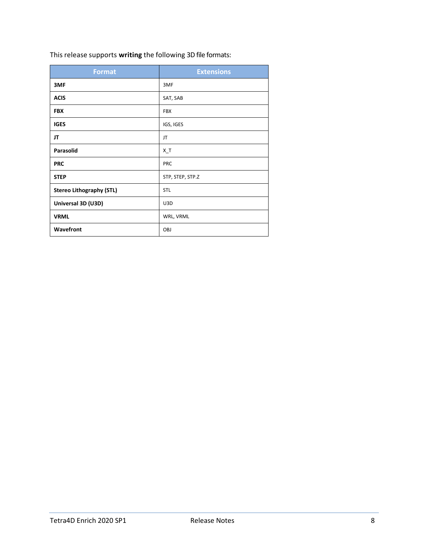| This release supports writing the following 3D file formats: |  |  |
|--------------------------------------------------------------|--|--|
|--------------------------------------------------------------|--|--|

| <b>Format</b>                   | <b>Extensions</b> |
|---------------------------------|-------------------|
| 3MF                             | 3MF               |
| <b>ACIS</b>                     | SAT, SAB          |
| <b>FBX</b>                      | <b>FBX</b>        |
| <b>IGES</b>                     | IGS, IGES         |
| JT                              | JT                |
| Parasolid                       | $X_T$             |
| <b>PRC</b>                      | PRC               |
| <b>STEP</b>                     | STP, STEP, STP.Z  |
| <b>Stereo Lithography (STL)</b> | <b>STL</b>        |
| Universal 3D (U3D)              | U3D               |
| <b>VRML</b>                     | WRL, VRML         |
| Wavefront                       | OBJ               |